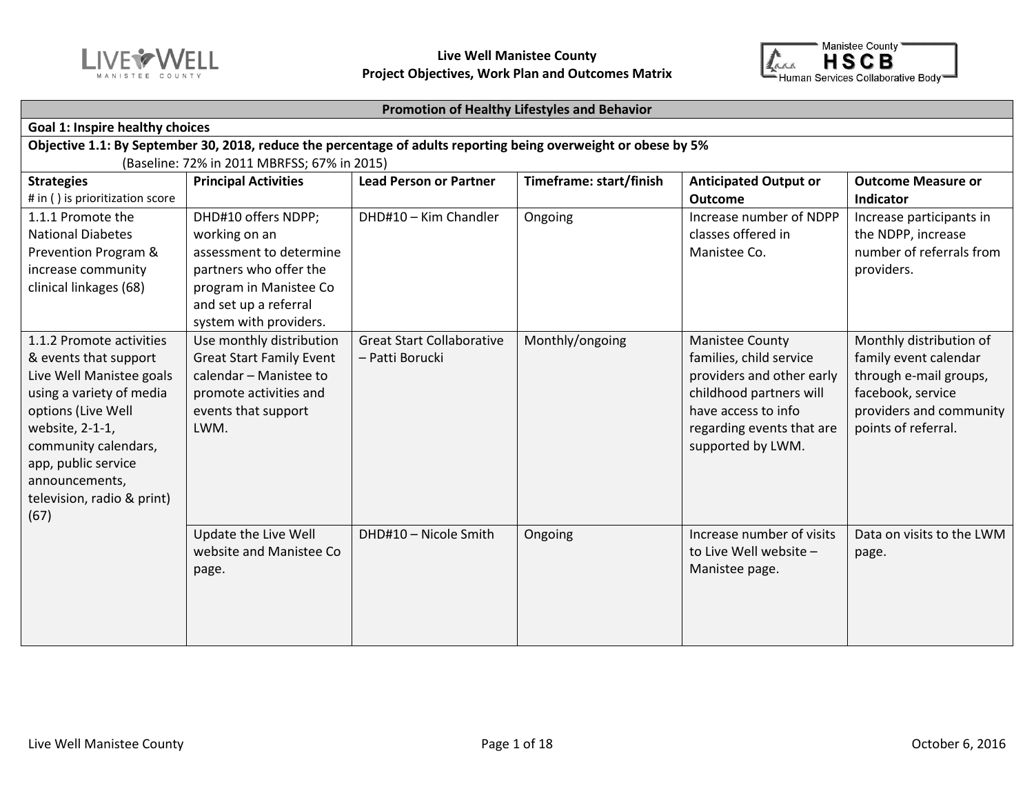



#### **Promotion of Healthy Lifestyles and Behavior**

| <b>Goal 1: Inspire healthy choices</b>                                                                                                                                                                                                                    |                                                                                                                                                                        |                                                     |                 |                                                                                                                                                                                    |                                                                                                                                                   |  |  |  |  |
|-----------------------------------------------------------------------------------------------------------------------------------------------------------------------------------------------------------------------------------------------------------|------------------------------------------------------------------------------------------------------------------------------------------------------------------------|-----------------------------------------------------|-----------------|------------------------------------------------------------------------------------------------------------------------------------------------------------------------------------|---------------------------------------------------------------------------------------------------------------------------------------------------|--|--|--|--|
|                                                                                                                                                                                                                                                           | Objective 1.1: By September 30, 2018, reduce the percentage of adults reporting being overweight or obese by 5%                                                        |                                                     |                 |                                                                                                                                                                                    |                                                                                                                                                   |  |  |  |  |
| (Baseline: 72% in 2011 MBRFSS; 67% in 2015)<br>Timeframe: start/finish<br><b>Anticipated Output or</b><br><b>Strategies</b><br><b>Principal Activities</b><br><b>Lead Person or Partner</b><br><b>Outcome Measure or</b>                                  |                                                                                                                                                                        |                                                     |                 |                                                                                                                                                                                    |                                                                                                                                                   |  |  |  |  |
| # in () is prioritization score                                                                                                                                                                                                                           |                                                                                                                                                                        |                                                     |                 | <b>Outcome</b>                                                                                                                                                                     | Indicator                                                                                                                                         |  |  |  |  |
| 1.1.1 Promote the<br><b>National Diabetes</b><br>Prevention Program &<br>increase community<br>clinical linkages (68)                                                                                                                                     | DHD#10 offers NDPP;<br>working on an<br>assessment to determine<br>partners who offer the<br>program in Manistee Co<br>and set up a referral<br>system with providers. | DHD#10 - Kim Chandler                               | Ongoing         | Increase number of NDPP<br>classes offered in<br>Manistee Co.                                                                                                                      | Increase participants in<br>the NDPP, increase<br>number of referrals from<br>providers.                                                          |  |  |  |  |
| 1.1.2 Promote activities<br>& events that support<br>Live Well Manistee goals<br>using a variety of media<br>options (Live Well<br>website, 2-1-1,<br>community calendars,<br>app, public service<br>announcements,<br>television, radio & print)<br>(67) | Use monthly distribution<br><b>Great Start Family Event</b><br>calendar - Manistee to<br>promote activities and<br>events that support<br>LWM.                         | <b>Great Start Collaborative</b><br>- Patti Borucki | Monthly/ongoing | <b>Manistee County</b><br>families, child service<br>providers and other early<br>childhood partners will<br>have access to info<br>regarding events that are<br>supported by LWM. | Monthly distribution of<br>family event calendar<br>through e-mail groups,<br>facebook, service<br>providers and community<br>points of referral. |  |  |  |  |
|                                                                                                                                                                                                                                                           | Update the Live Well<br>website and Manistee Co<br>page.                                                                                                               | DHD#10 - Nicole Smith                               | Ongoing         | Increase number of visits<br>to Live Well website -<br>Manistee page.                                                                                                              | Data on visits to the LWM<br>page.                                                                                                                |  |  |  |  |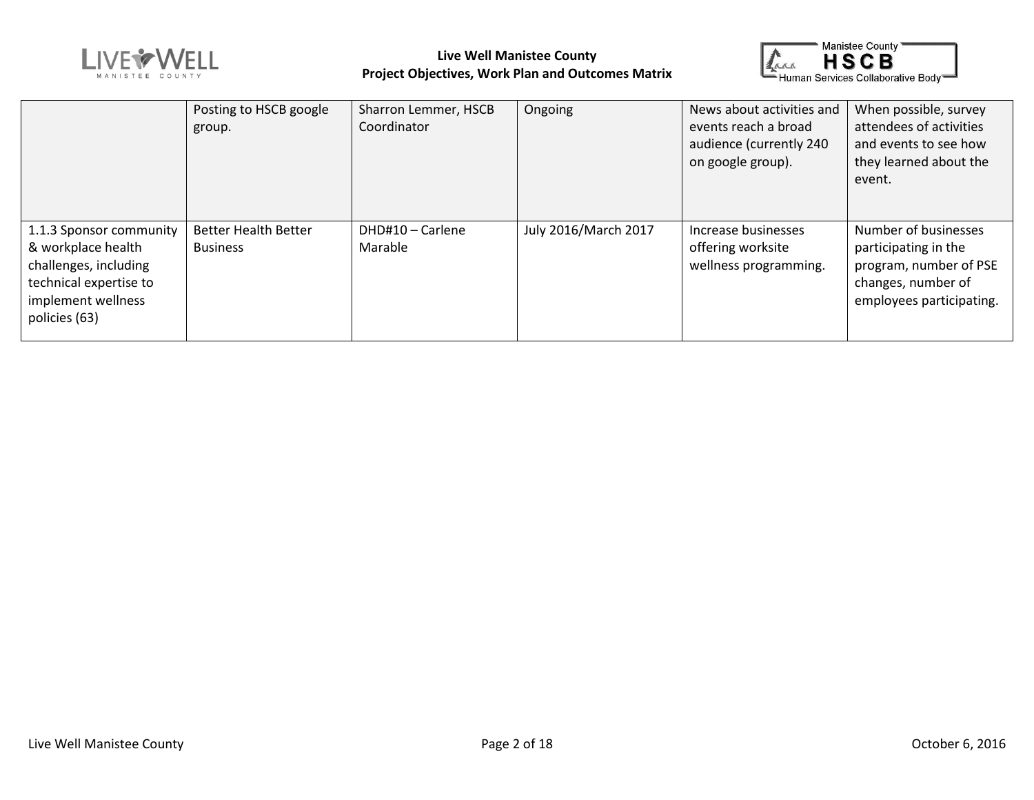



|                                                                                                                                         | Posting to HSCB google<br>group.               | Sharron Lemmer, HSCB<br>Coordinator | Ongoing              | News about activities and<br>events reach a broad<br>audience (currently 240<br>on google group). | When possible, survey<br>attendees of activities<br>and events to see how<br>they learned about the<br>event.            |
|-----------------------------------------------------------------------------------------------------------------------------------------|------------------------------------------------|-------------------------------------|----------------------|---------------------------------------------------------------------------------------------------|--------------------------------------------------------------------------------------------------------------------------|
| 1.1.3 Sponsor community<br>& workplace health<br>challenges, including<br>technical expertise to<br>implement wellness<br>policies (63) | <b>Better Health Better</b><br><b>Business</b> | DHD#10 - Carlene<br>Marable         | July 2016/March 2017 | Increase businesses<br>offering worksite<br>wellness programming.                                 | Number of businesses<br>participating in the<br>program, number of PSE<br>changes, number of<br>employees participating. |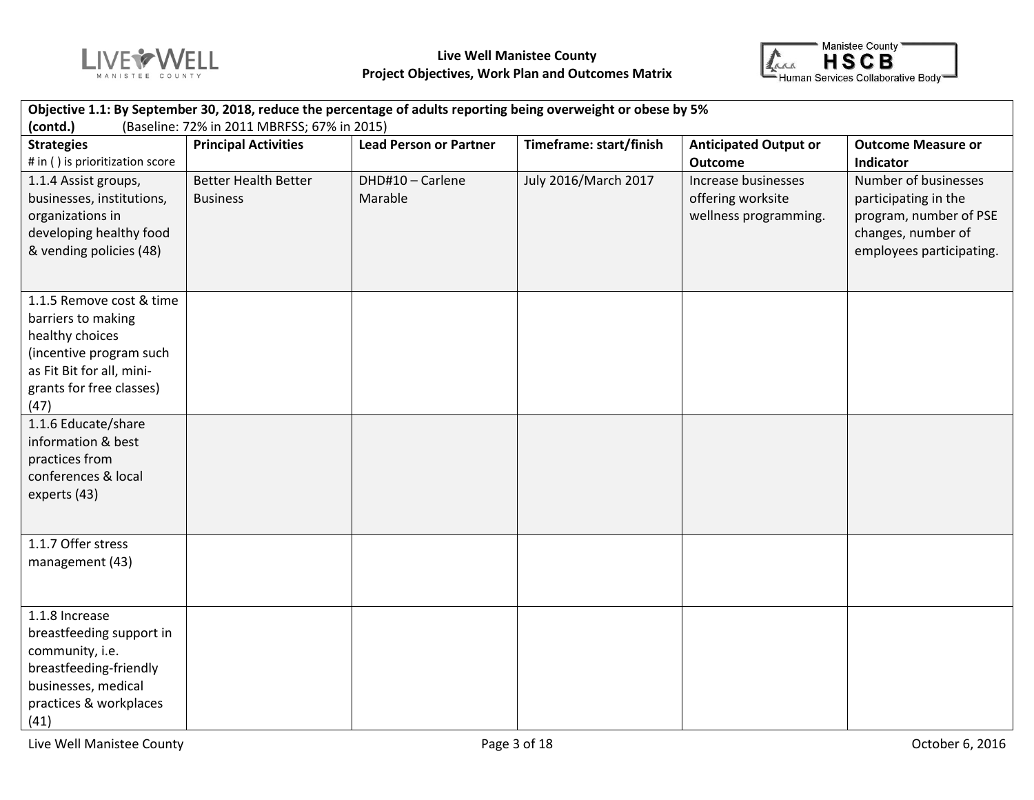



| Objective 1.1: By September 30, 2018, reduce the percentage of adults reporting being overweight or obese by 5%                                               |                                                |                               |                         |                                                                   |                                                                                                                          |  |  |  |
|---------------------------------------------------------------------------------------------------------------------------------------------------------------|------------------------------------------------|-------------------------------|-------------------------|-------------------------------------------------------------------|--------------------------------------------------------------------------------------------------------------------------|--|--|--|
| (contd.)<br>(Baseline: 72% in 2011 MBRFSS; 67% in 2015)                                                                                                       |                                                |                               |                         |                                                                   |                                                                                                                          |  |  |  |
| <b>Strategies</b><br># in () is prioritization score                                                                                                          | <b>Principal Activities</b>                    | <b>Lead Person or Partner</b> | Timeframe: start/finish | <b>Anticipated Output or</b><br><b>Outcome</b>                    | <b>Outcome Measure or</b><br>Indicator                                                                                   |  |  |  |
| 1.1.4 Assist groups,<br>businesses, institutions,<br>organizations in<br>developing healthy food<br>& vending policies (48)                                   | <b>Better Health Better</b><br><b>Business</b> | DHD#10 - Carlene<br>Marable   | July 2016/March 2017    | Increase businesses<br>offering worksite<br>wellness programming. | Number of businesses<br>participating in the<br>program, number of PSE<br>changes, number of<br>employees participating. |  |  |  |
| 1.1.5 Remove cost & time<br>barriers to making<br>healthy choices<br>(incentive program such<br>as Fit Bit for all, mini-<br>grants for free classes)<br>(47) |                                                |                               |                         |                                                                   |                                                                                                                          |  |  |  |
| 1.1.6 Educate/share<br>information & best<br>practices from<br>conferences & local<br>experts (43)                                                            |                                                |                               |                         |                                                                   |                                                                                                                          |  |  |  |
| 1.1.7 Offer stress<br>management (43)                                                                                                                         |                                                |                               |                         |                                                                   |                                                                                                                          |  |  |  |
| 1.1.8 Increase<br>breastfeeding support in<br>community, i.e.<br>breastfeeding-friendly<br>businesses, medical<br>practices & workplaces<br>(41)              |                                                |                               |                         |                                                                   |                                                                                                                          |  |  |  |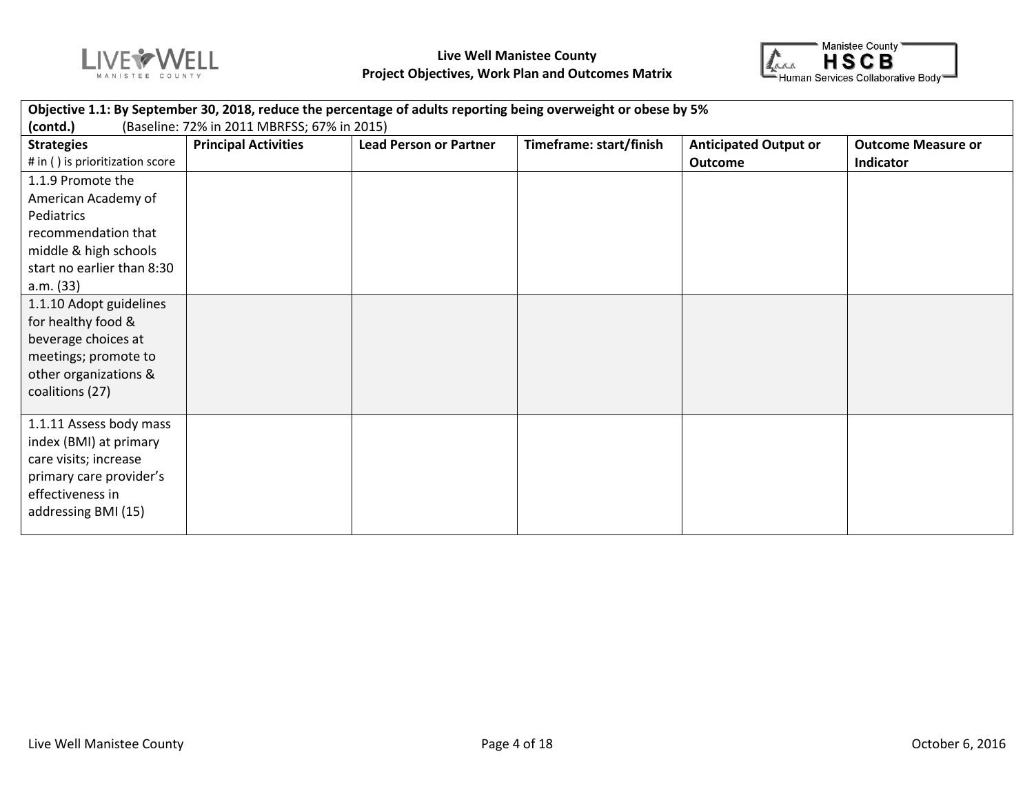



| <b>Strategies</b>               | <b>Principal Activities</b> | <b>Lead Person or Partner</b> | Timeframe: start/finish | <b>Anticipated Output or</b> | <b>Outcome Measure or</b> |
|---------------------------------|-----------------------------|-------------------------------|-------------------------|------------------------------|---------------------------|
| # in () is prioritization score |                             |                               |                         | <b>Outcome</b>               | <b>Indicator</b>          |
| 1.1.9 Promote the               |                             |                               |                         |                              |                           |
| American Academy of             |                             |                               |                         |                              |                           |
| Pediatrics                      |                             |                               |                         |                              |                           |
| recommendation that             |                             |                               |                         |                              |                           |
| middle & high schools           |                             |                               |                         |                              |                           |
| start no earlier than 8:30      |                             |                               |                         |                              |                           |
| a.m. (33)                       |                             |                               |                         |                              |                           |
| 1.1.10 Adopt guidelines         |                             |                               |                         |                              |                           |
| for healthy food &              |                             |                               |                         |                              |                           |
| beverage choices at             |                             |                               |                         |                              |                           |
| meetings; promote to            |                             |                               |                         |                              |                           |
| other organizations &           |                             |                               |                         |                              |                           |
| coalitions (27)                 |                             |                               |                         |                              |                           |
|                                 |                             |                               |                         |                              |                           |
| 1.1.11 Assess body mass         |                             |                               |                         |                              |                           |
| index (BMI) at primary          |                             |                               |                         |                              |                           |
| care visits; increase           |                             |                               |                         |                              |                           |
| primary care provider's         |                             |                               |                         |                              |                           |
| effectiveness in                |                             |                               |                         |                              |                           |
| addressing BMI (15)             |                             |                               |                         |                              |                           |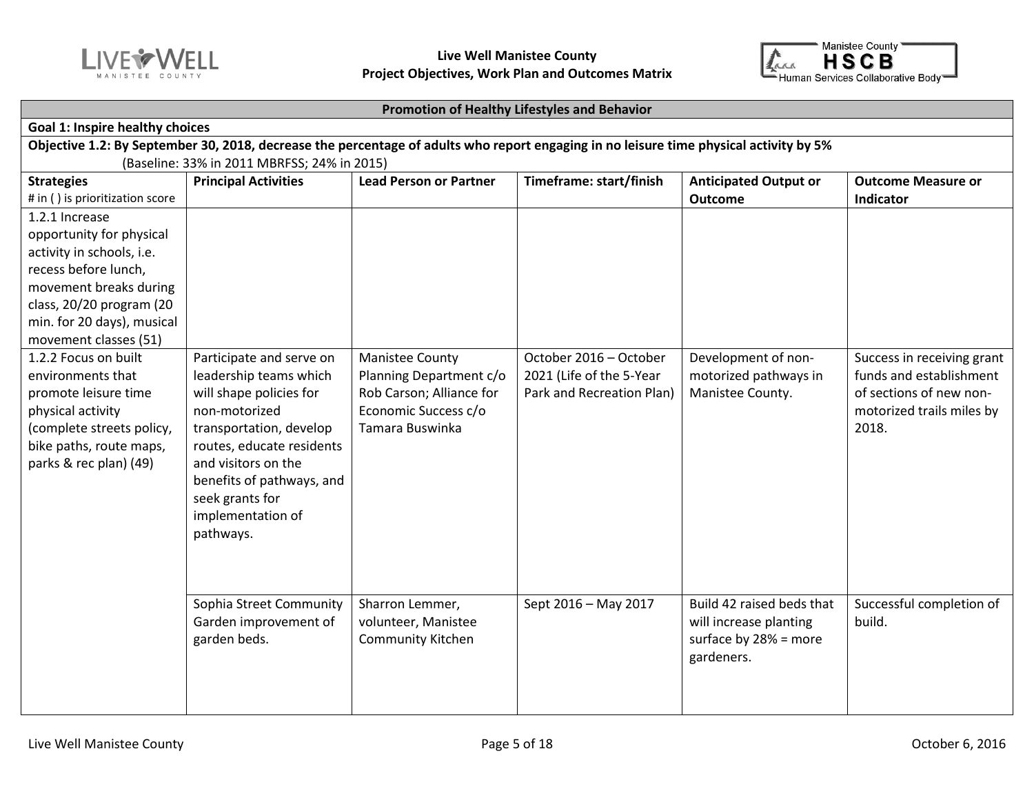



#### **Promotion of Healthy Lifestyles and Behavior**

#### **Goal 1: Inspire healthy choices Objective 1.2: By September 30, 2018, decrease the percentage of adults who report engaging in no leisure time physical activity by 5%**  (Baseline: 33% in 2011 MBRFSS; 24% in 2015) **Strategies** # in ( ) is prioritization score **Principal Activities Lead Person or Partner** Timeframe: start/finish Anticipated Output or **Outcome Outcome Measure or Indicator** 1.2.1 Increase opportunity for physical activity in schools, i.e. recess before lunch, movement breaks during class, 20/20 program (20 min. for 20 days), musical movement classes (51) 1.2.2 Focus on built environments that promote leisure time physical activity (complete streets policy, bike paths, route maps, parks & rec plan) (49) Participate and serve on leadership teams which will shape policies for non-motorized transportation, develop routes, educate residents and visitors on the benefits of pathways, and seek grants for implementation of pathways. Manistee County Planning Department c/o Rob Carson; Alliance for Economic Success c/o Tamara Buswinka October 2016 – October 2021 (Life of the 5-Year Park and Recreation Plan) Development of nonmotorized pathways in Manistee County. Success in receiving grant funds and establishment of sections of new nonmotorized trails miles by 2018. Sophia Street Community Garden improvement of garden beds. Sharron Lemmer, volunteer, Manistee Community Kitchen Sept 2016 – May 2017  $\parallel$  Build 42 raised beds that will increase planting surface by 28% = more gardeners. Successful completion of build.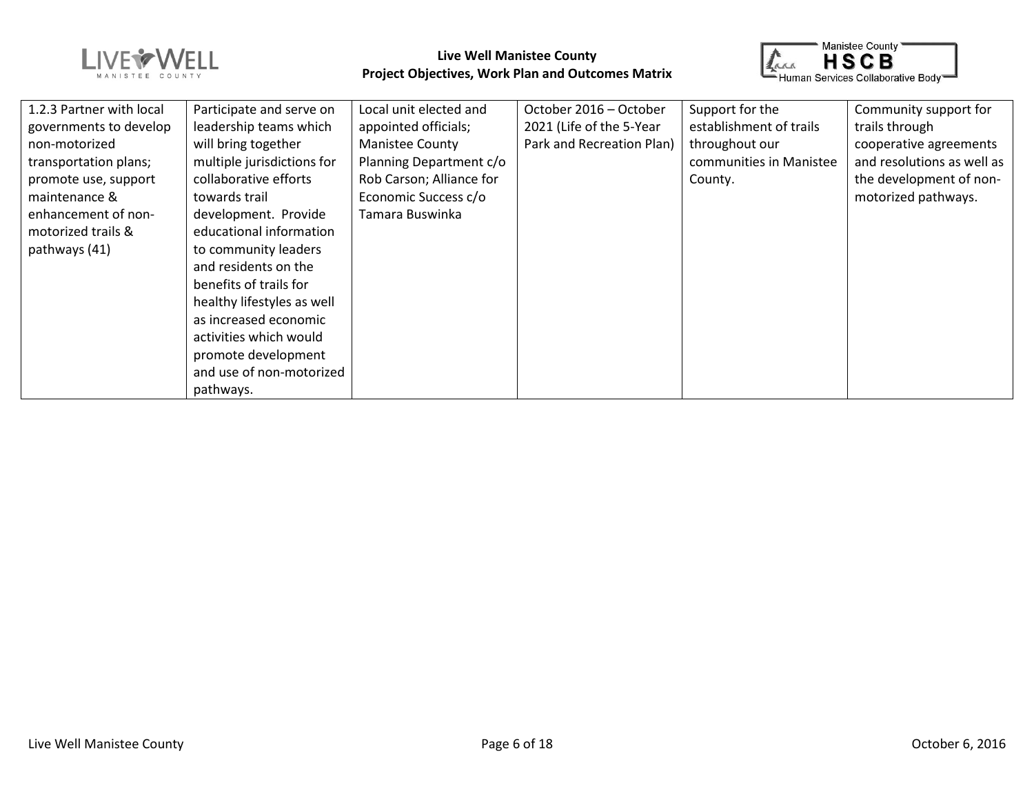



| 1.2.3 Partner with local | Participate and serve on   | Local unit elected and   | October 2016 - October    | Support for the         | Community support for      |
|--------------------------|----------------------------|--------------------------|---------------------------|-------------------------|----------------------------|
| governments to develop   | leadership teams which     | appointed officials;     | 2021 (Life of the 5-Year  | establishment of trails | trails through             |
| non-motorized            | will bring together        | <b>Manistee County</b>   | Park and Recreation Plan) | throughout our          | cooperative agreements     |
| transportation plans;    | multiple jurisdictions for | Planning Department c/o  |                           | communities in Manistee | and resolutions as well as |
| promote use, support     | collaborative efforts      | Rob Carson; Alliance for |                           | County.                 | the development of non-    |
| maintenance &            | towards trail              | Economic Success c/o     |                           |                         | motorized pathways.        |
| enhancement of non-      | development. Provide       | Tamara Buswinka          |                           |                         |                            |
| motorized trails &       | educational information    |                          |                           |                         |                            |
| pathways (41)            | to community leaders       |                          |                           |                         |                            |
|                          | and residents on the       |                          |                           |                         |                            |
|                          | benefits of trails for     |                          |                           |                         |                            |
|                          | healthy lifestyles as well |                          |                           |                         |                            |
|                          | as increased economic      |                          |                           |                         |                            |
|                          | activities which would     |                          |                           |                         |                            |
|                          | promote development        |                          |                           |                         |                            |
|                          | and use of non-motorized   |                          |                           |                         |                            |
|                          | pathways.                  |                          |                           |                         |                            |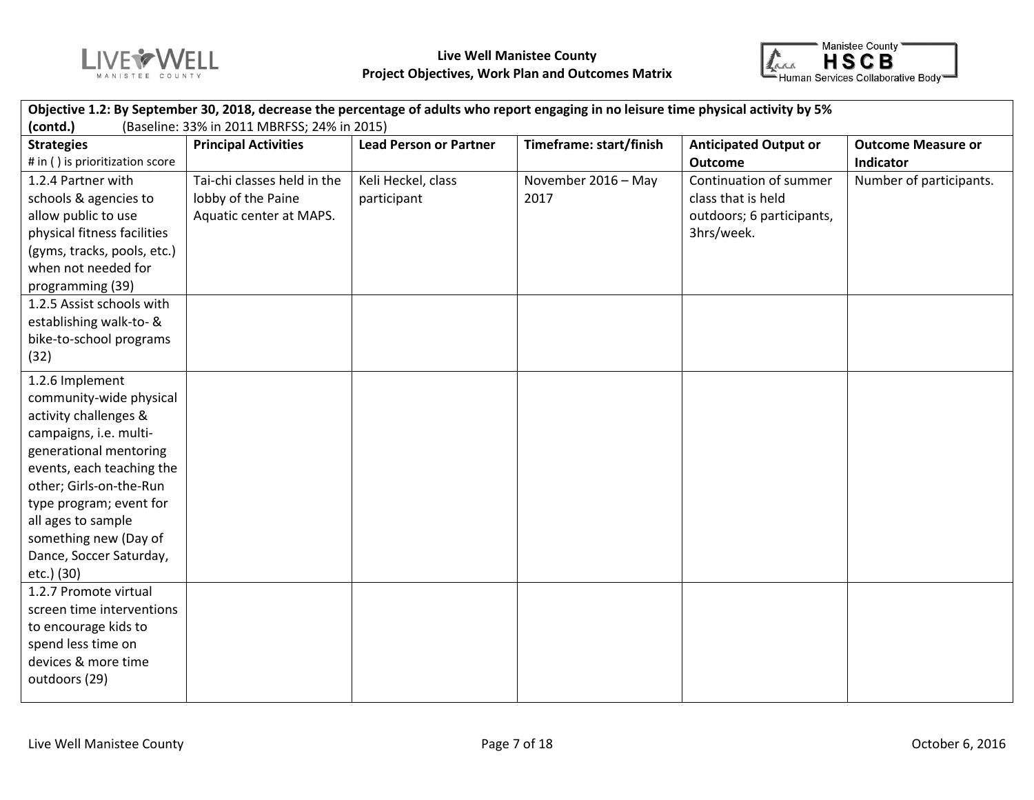



| Objective 1.2: By September 30, 2018, decrease the percentage of adults who report engaging in no leisure time physical activity by 5% |                             |                               |                         |                              |                           |  |  |  |
|----------------------------------------------------------------------------------------------------------------------------------------|-----------------------------|-------------------------------|-------------------------|------------------------------|---------------------------|--|--|--|
| (contd.)<br>(Baseline: 33% in 2011 MBRFSS; 24% in 2015)                                                                                |                             |                               |                         |                              |                           |  |  |  |
| <b>Strategies</b>                                                                                                                      | <b>Principal Activities</b> | <b>Lead Person or Partner</b> | Timeframe: start/finish | <b>Anticipated Output or</b> | <b>Outcome Measure or</b> |  |  |  |
| # in () is prioritization score                                                                                                        |                             |                               |                         | <b>Outcome</b>               | Indicator                 |  |  |  |
| 1.2.4 Partner with                                                                                                                     | Tai-chi classes held in the | Keli Heckel, class            | November 2016 - May     | Continuation of summer       | Number of participants.   |  |  |  |
| schools & agencies to                                                                                                                  | lobby of the Paine          | participant                   | 2017                    | class that is held           |                           |  |  |  |
| allow public to use                                                                                                                    | Aquatic center at MAPS.     |                               |                         | outdoors; 6 participants,    |                           |  |  |  |
| physical fitness facilities                                                                                                            |                             |                               |                         | 3hrs/week.                   |                           |  |  |  |
| (gyms, tracks, pools, etc.)                                                                                                            |                             |                               |                         |                              |                           |  |  |  |
| when not needed for                                                                                                                    |                             |                               |                         |                              |                           |  |  |  |
| programming (39)                                                                                                                       |                             |                               |                         |                              |                           |  |  |  |
| 1.2.5 Assist schools with                                                                                                              |                             |                               |                         |                              |                           |  |  |  |
| establishing walk-to- &                                                                                                                |                             |                               |                         |                              |                           |  |  |  |
| bike-to-school programs                                                                                                                |                             |                               |                         |                              |                           |  |  |  |
| (32)                                                                                                                                   |                             |                               |                         |                              |                           |  |  |  |
| 1.2.6 Implement                                                                                                                        |                             |                               |                         |                              |                           |  |  |  |
| community-wide physical                                                                                                                |                             |                               |                         |                              |                           |  |  |  |
| activity challenges &                                                                                                                  |                             |                               |                         |                              |                           |  |  |  |
| campaigns, i.e. multi-                                                                                                                 |                             |                               |                         |                              |                           |  |  |  |
| generational mentoring                                                                                                                 |                             |                               |                         |                              |                           |  |  |  |
| events, each teaching the                                                                                                              |                             |                               |                         |                              |                           |  |  |  |
| other; Girls-on-the-Run                                                                                                                |                             |                               |                         |                              |                           |  |  |  |
| type program; event for                                                                                                                |                             |                               |                         |                              |                           |  |  |  |
| all ages to sample                                                                                                                     |                             |                               |                         |                              |                           |  |  |  |
| something new (Day of                                                                                                                  |                             |                               |                         |                              |                           |  |  |  |
| Dance, Soccer Saturday,                                                                                                                |                             |                               |                         |                              |                           |  |  |  |
| etc.) (30)<br>1.2.7 Promote virtual                                                                                                    |                             |                               |                         |                              |                           |  |  |  |
|                                                                                                                                        |                             |                               |                         |                              |                           |  |  |  |
| screen time interventions                                                                                                              |                             |                               |                         |                              |                           |  |  |  |
| to encourage kids to<br>spend less time on                                                                                             |                             |                               |                         |                              |                           |  |  |  |
| devices & more time                                                                                                                    |                             |                               |                         |                              |                           |  |  |  |
| outdoors (29)                                                                                                                          |                             |                               |                         |                              |                           |  |  |  |
|                                                                                                                                        |                             |                               |                         |                              |                           |  |  |  |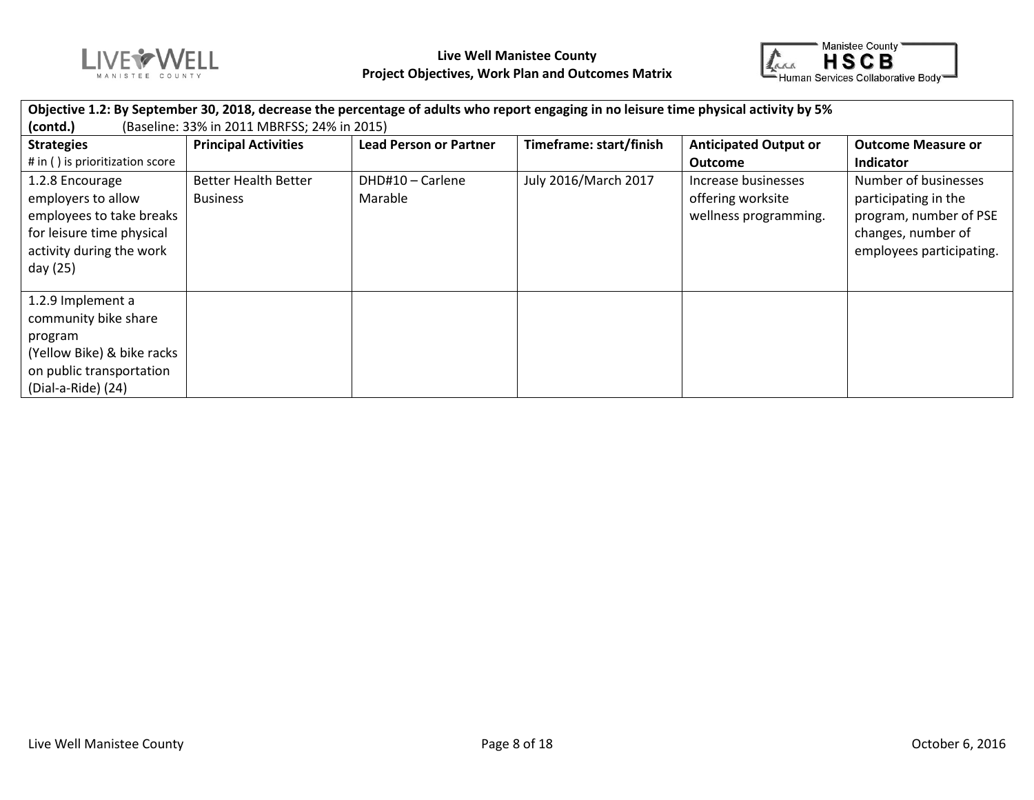



| Objective 1.2: By September 30, 2018, decrease the percentage of adults who report engaging in no leisure time physical activity by 5% |                             |                               |                         |                              |                           |  |  |  |
|----------------------------------------------------------------------------------------------------------------------------------------|-----------------------------|-------------------------------|-------------------------|------------------------------|---------------------------|--|--|--|
| (Baseline: 33% in 2011 MBRFSS; 24% in 2015)<br>(contd.)                                                                                |                             |                               |                         |                              |                           |  |  |  |
| <b>Strategies</b>                                                                                                                      | <b>Principal Activities</b> | <b>Lead Person or Partner</b> | Timeframe: start/finish | <b>Anticipated Output or</b> | <b>Outcome Measure or</b> |  |  |  |
| # in () is prioritization score                                                                                                        |                             |                               |                         | <b>Outcome</b>               | Indicator                 |  |  |  |
| 1.2.8 Encourage                                                                                                                        | <b>Better Health Better</b> | DHD#10 - Carlene              | July 2016/March 2017    | Increase businesses          | Number of businesses      |  |  |  |
| employers to allow                                                                                                                     | <b>Business</b>             | Marable                       |                         | offering worksite            | participating in the      |  |  |  |
| employees to take breaks                                                                                                               |                             |                               |                         | wellness programming.        | program, number of PSE    |  |  |  |
| for leisure time physical                                                                                                              |                             |                               |                         |                              | changes, number of        |  |  |  |
| activity during the work                                                                                                               |                             |                               |                         |                              | employees participating.  |  |  |  |
| day (25)                                                                                                                               |                             |                               |                         |                              |                           |  |  |  |
| 1.2.9 Implement a                                                                                                                      |                             |                               |                         |                              |                           |  |  |  |
| community bike share                                                                                                                   |                             |                               |                         |                              |                           |  |  |  |
| program                                                                                                                                |                             |                               |                         |                              |                           |  |  |  |
| (Yellow Bike) & bike racks                                                                                                             |                             |                               |                         |                              |                           |  |  |  |
| on public transportation                                                                                                               |                             |                               |                         |                              |                           |  |  |  |
| (Dial-a-Ride) (24)                                                                                                                     |                             |                               |                         |                              |                           |  |  |  |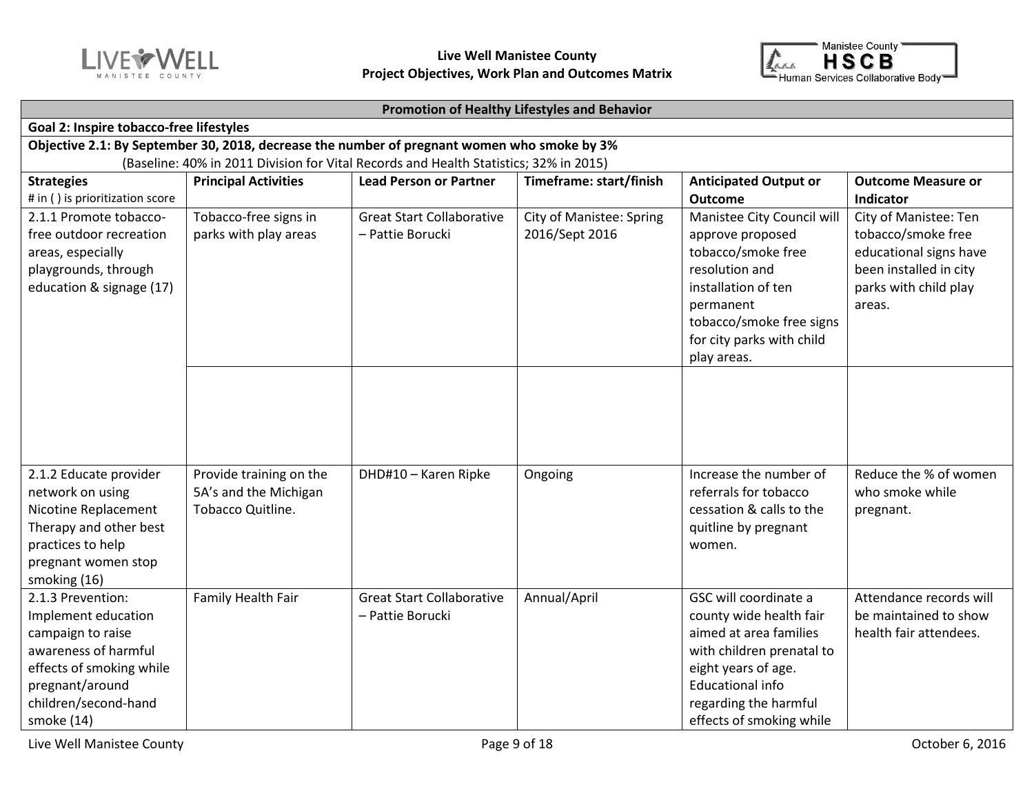



#### **Promotion of Healthy Lifestyles and Behavior**

| Goal 2: Inspire tobacco-free lifestyles                                                                                                                                    |                                                                       |                                                      |                                                   |                                                                                                                                                                                                                |                                                                                                                                    |  |  |  |  |
|----------------------------------------------------------------------------------------------------------------------------------------------------------------------------|-----------------------------------------------------------------------|------------------------------------------------------|---------------------------------------------------|----------------------------------------------------------------------------------------------------------------------------------------------------------------------------------------------------------------|------------------------------------------------------------------------------------------------------------------------------------|--|--|--|--|
| Objective 2.1: By September 30, 2018, decrease the number of pregnant women who smoke by 3%                                                                                |                                                                       |                                                      |                                                   |                                                                                                                                                                                                                |                                                                                                                                    |  |  |  |  |
| (Baseline: 40% in 2011 Division for Vital Records and Health Statistics; 32% in 2015)                                                                                      |                                                                       |                                                      |                                                   |                                                                                                                                                                                                                |                                                                                                                                    |  |  |  |  |
| <b>Strategies</b><br># in () is prioritization score                                                                                                                       | <b>Principal Activities</b>                                           | <b>Lead Person or Partner</b>                        | Timeframe: start/finish                           | <b>Anticipated Output or</b><br><b>Outcome</b>                                                                                                                                                                 | <b>Outcome Measure or</b><br>Indicator                                                                                             |  |  |  |  |
| 2.1.1 Promote tobacco-<br>free outdoor recreation<br>areas, especially<br>playgrounds, through<br>education & signage (17)                                                 | Tobacco-free signs in<br>parks with play areas                        | <b>Great Start Collaborative</b><br>- Pattie Borucki | <b>City of Manistee: Spring</b><br>2016/Sept 2016 | Manistee City Council will<br>approve proposed<br>tobacco/smoke free<br>resolution and<br>installation of ten<br>permanent<br>tobacco/smoke free signs<br>for city parks with child<br>play areas.             | City of Manistee: Ten<br>tobacco/smoke free<br>educational signs have<br>been installed in city<br>parks with child play<br>areas. |  |  |  |  |
|                                                                                                                                                                            |                                                                       |                                                      |                                                   |                                                                                                                                                                                                                |                                                                                                                                    |  |  |  |  |
| 2.1.2 Educate provider<br>network on using<br>Nicotine Replacement<br>Therapy and other best<br>practices to help<br>pregnant women stop<br>smoking (16)                   | Provide training on the<br>5A's and the Michigan<br>Tobacco Quitline. | DHD#10 - Karen Ripke                                 | Ongoing                                           | Increase the number of<br>referrals for tobacco<br>cessation & calls to the<br>quitline by pregnant<br>women.                                                                                                  | Reduce the % of women<br>who smoke while<br>pregnant.                                                                              |  |  |  |  |
| 2.1.3 Prevention:<br>Implement education<br>campaign to raise<br>awareness of harmful<br>effects of smoking while<br>pregnant/around<br>children/second-hand<br>smoke (14) | Family Health Fair                                                    | <b>Great Start Collaborative</b><br>- Pattie Borucki | Annual/April                                      | GSC will coordinate a<br>county wide health fair<br>aimed at area families<br>with children prenatal to<br>eight years of age.<br><b>Educational info</b><br>regarding the harmful<br>effects of smoking while | Attendance records will<br>be maintained to show<br>health fair attendees.                                                         |  |  |  |  |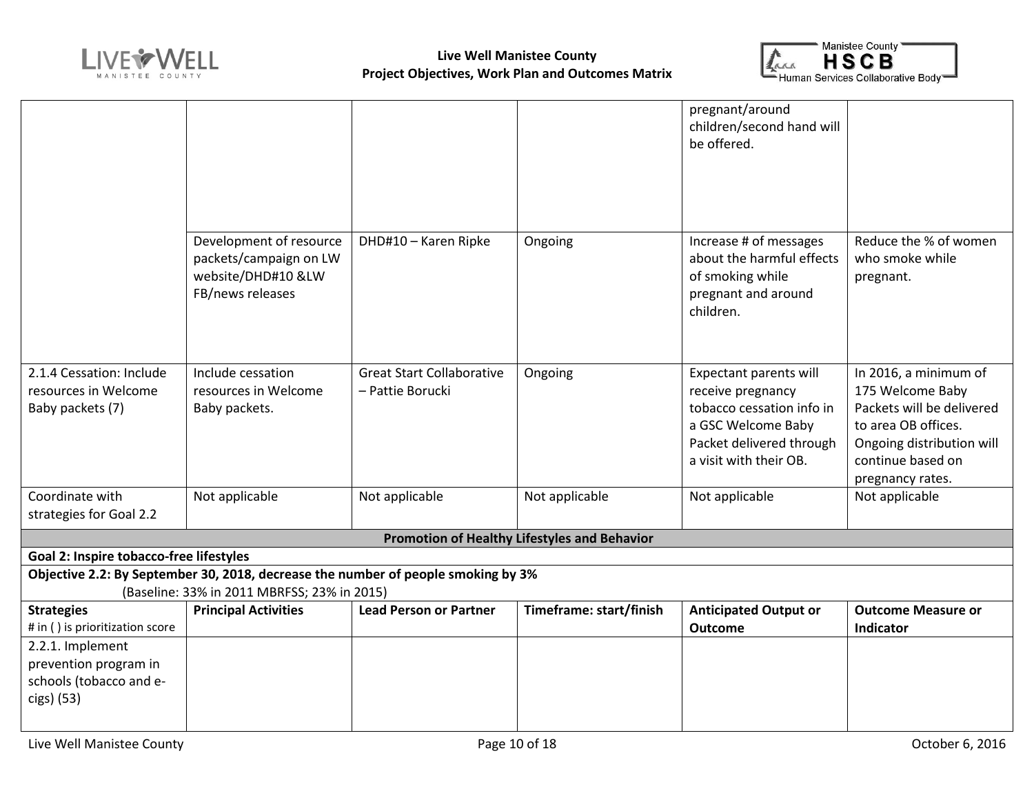



|                                         |                                                                                   |                                  |                                              | pregnant/around              |                           |
|-----------------------------------------|-----------------------------------------------------------------------------------|----------------------------------|----------------------------------------------|------------------------------|---------------------------|
|                                         |                                                                                   |                                  |                                              | children/second hand will    |                           |
|                                         |                                                                                   |                                  |                                              | be offered.                  |                           |
|                                         |                                                                                   |                                  |                                              |                              |                           |
|                                         |                                                                                   |                                  |                                              |                              |                           |
|                                         |                                                                                   |                                  |                                              |                              |                           |
|                                         |                                                                                   |                                  |                                              |                              |                           |
|                                         | Development of resource                                                           | DHD#10 - Karen Ripke             | Ongoing                                      | Increase # of messages       | Reduce the % of women     |
|                                         | packets/campaign on LW                                                            |                                  |                                              | about the harmful effects    | who smoke while           |
|                                         | website/DHD#10 &LW                                                                |                                  |                                              | of smoking while             | pregnant.                 |
|                                         | FB/news releases                                                                  |                                  |                                              | pregnant and around          |                           |
|                                         |                                                                                   |                                  |                                              | children.                    |                           |
|                                         |                                                                                   |                                  |                                              |                              |                           |
|                                         |                                                                                   |                                  |                                              |                              |                           |
| 2.1.4 Cessation: Include                | Include cessation                                                                 | <b>Great Start Collaborative</b> | Ongoing                                      | Expectant parents will       | In 2016, a minimum of     |
| resources in Welcome                    | resources in Welcome                                                              | - Pattie Borucki                 |                                              | receive pregnancy            | 175 Welcome Baby          |
| Baby packets (7)                        | Baby packets.                                                                     |                                  |                                              | tobacco cessation info in    | Packets will be delivered |
|                                         |                                                                                   |                                  |                                              | a GSC Welcome Baby           | to area OB offices.       |
|                                         |                                                                                   |                                  |                                              | Packet delivered through     | Ongoing distribution will |
|                                         |                                                                                   |                                  |                                              | a visit with their OB.       | continue based on         |
|                                         |                                                                                   |                                  |                                              |                              | pregnancy rates.          |
| Coordinate with                         | Not applicable                                                                    | Not applicable                   | Not applicable                               | Not applicable               | Not applicable            |
| strategies for Goal 2.2                 |                                                                                   |                                  |                                              |                              |                           |
|                                         |                                                                                   |                                  | Promotion of Healthy Lifestyles and Behavior |                              |                           |
| Goal 2: Inspire tobacco-free lifestyles |                                                                                   |                                  |                                              |                              |                           |
|                                         | Objective 2.2: By September 30, 2018, decrease the number of people smoking by 3% |                                  |                                              |                              |                           |
|                                         | (Baseline: 33% in 2011 MBRFSS; 23% in 2015)                                       |                                  |                                              |                              |                           |
| <b>Strategies</b>                       | <b>Principal Activities</b>                                                       | <b>Lead Person or Partner</b>    | Timeframe: start/finish                      | <b>Anticipated Output or</b> | <b>Outcome Measure or</b> |
| # in () is prioritization score         |                                                                                   |                                  |                                              | <b>Outcome</b>               | Indicator                 |
| 2.2.1. Implement                        |                                                                                   |                                  |                                              |                              |                           |
| prevention program in                   |                                                                                   |                                  |                                              |                              |                           |
| schools (tobacco and e-                 |                                                                                   |                                  |                                              |                              |                           |
| cigs) (53)                              |                                                                                   |                                  |                                              |                              |                           |
|                                         |                                                                                   |                                  |                                              |                              |                           |
|                                         |                                                                                   |                                  |                                              |                              |                           |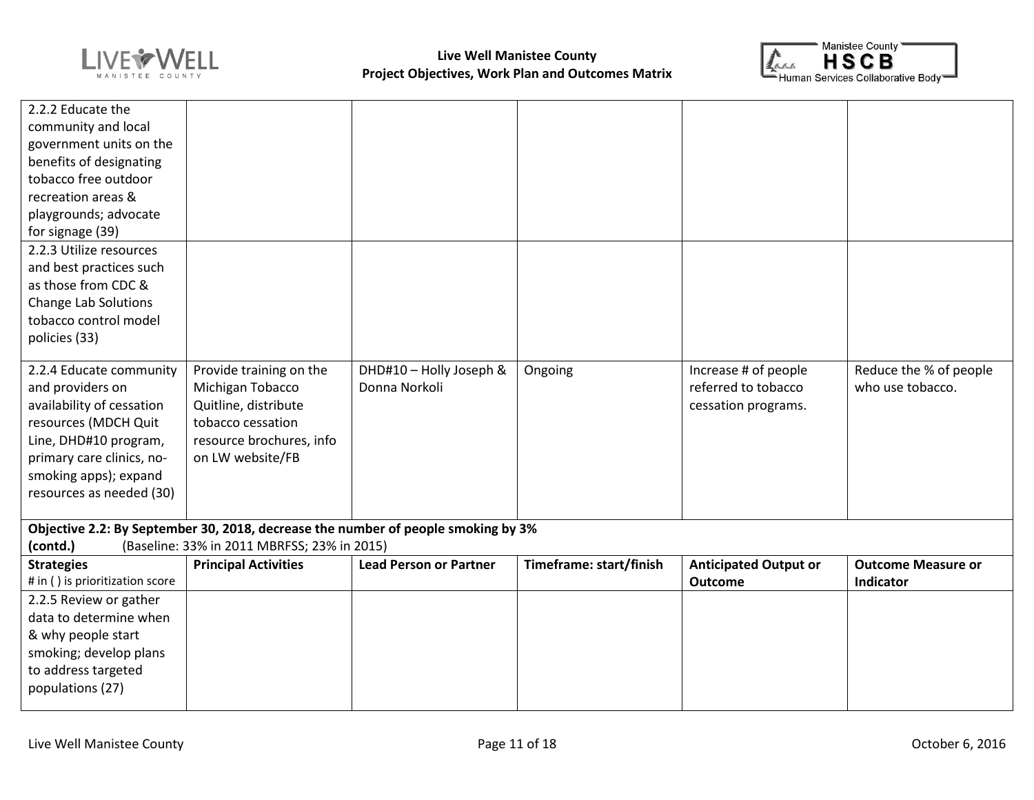



| 2.2.2 Educate the               |                                                                                   |                               |                         |                              |                           |
|---------------------------------|-----------------------------------------------------------------------------------|-------------------------------|-------------------------|------------------------------|---------------------------|
| community and local             |                                                                                   |                               |                         |                              |                           |
| government units on the         |                                                                                   |                               |                         |                              |                           |
| benefits of designating         |                                                                                   |                               |                         |                              |                           |
| tobacco free outdoor            |                                                                                   |                               |                         |                              |                           |
| recreation areas &              |                                                                                   |                               |                         |                              |                           |
| playgrounds; advocate           |                                                                                   |                               |                         |                              |                           |
| for signage (39)                |                                                                                   |                               |                         |                              |                           |
| 2.2.3 Utilize resources         |                                                                                   |                               |                         |                              |                           |
| and best practices such         |                                                                                   |                               |                         |                              |                           |
| as those from CDC &             |                                                                                   |                               |                         |                              |                           |
| <b>Change Lab Solutions</b>     |                                                                                   |                               |                         |                              |                           |
| tobacco control model           |                                                                                   |                               |                         |                              |                           |
| policies (33)                   |                                                                                   |                               |                         |                              |                           |
|                                 |                                                                                   |                               |                         |                              |                           |
| 2.2.4 Educate community         | Provide training on the                                                           | DHD#10 - Holly Joseph &       | Ongoing                 | Increase # of people         | Reduce the % of people    |
| and providers on                | Michigan Tobacco                                                                  | Donna Norkoli                 |                         | referred to tobacco          | who use tobacco.          |
| availability of cessation       | Quitline, distribute                                                              |                               |                         | cessation programs.          |                           |
| resources (MDCH Quit            | tobacco cessation                                                                 |                               |                         |                              |                           |
| Line, DHD#10 program,           | resource brochures, info                                                          |                               |                         |                              |                           |
| primary care clinics, no-       | on LW website/FB                                                                  |                               |                         |                              |                           |
| smoking apps); expand           |                                                                                   |                               |                         |                              |                           |
| resources as needed (30)        |                                                                                   |                               |                         |                              |                           |
|                                 | Objective 2.2: By September 30, 2018, decrease the number of people smoking by 3% |                               |                         |                              |                           |
| (contd.)                        | (Baseline: 33% in 2011 MBRFSS; 23% in 2015)                                       |                               |                         |                              |                           |
| <b>Strategies</b>               | <b>Principal Activities</b>                                                       | <b>Lead Person or Partner</b> | Timeframe: start/finish | <b>Anticipated Output or</b> | <b>Outcome Measure or</b> |
| # in () is prioritization score |                                                                                   |                               |                         | <b>Outcome</b>               | Indicator                 |
| 2.2.5 Review or gather          |                                                                                   |                               |                         |                              |                           |
| data to determine when          |                                                                                   |                               |                         |                              |                           |
| & why people start              |                                                                                   |                               |                         |                              |                           |
| smoking; develop plans          |                                                                                   |                               |                         |                              |                           |
| to address targeted             |                                                                                   |                               |                         |                              |                           |
| populations (27)                |                                                                                   |                               |                         |                              |                           |
|                                 |                                                                                   |                               |                         |                              |                           |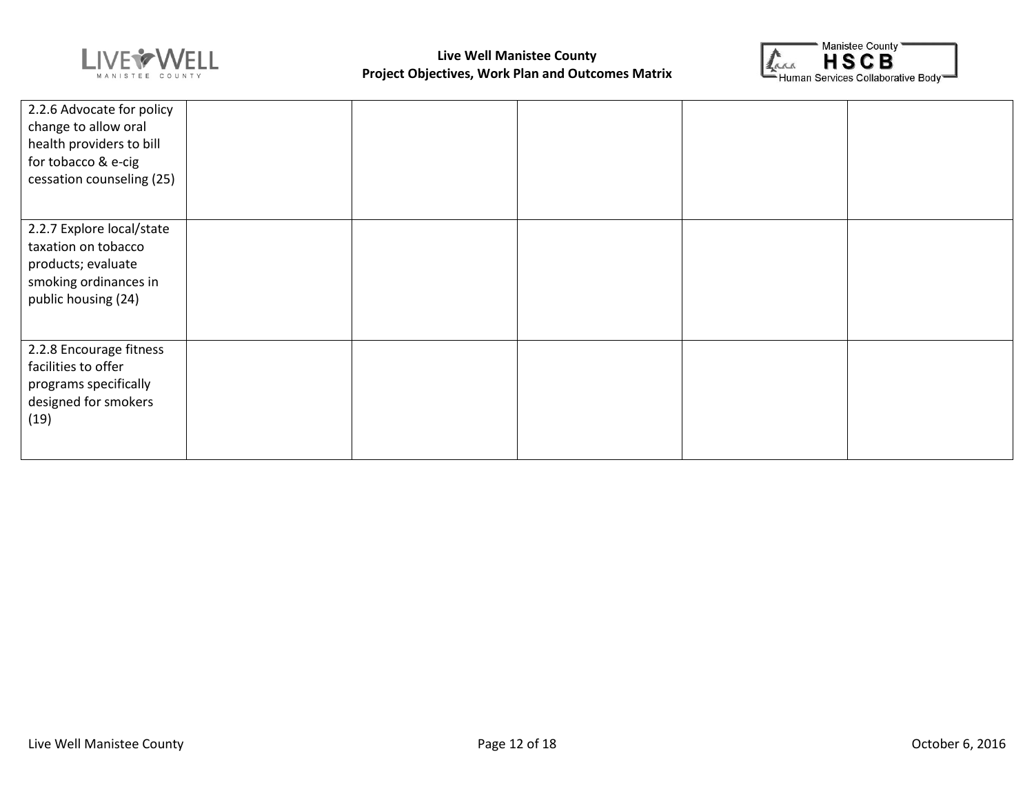



| 2.2.6 Advocate for policy<br>change to allow oral<br>health providers to bill<br>for tobacco & e-cig<br>cessation counseling (25) |  |  |  |
|-----------------------------------------------------------------------------------------------------------------------------------|--|--|--|
| 2.2.7 Explore local/state<br>taxation on tobacco<br>products; evaluate<br>smoking ordinances in<br>public housing (24)            |  |  |  |
| 2.2.8 Encourage fitness<br>facilities to offer<br>programs specifically<br>designed for smokers<br>(19)                           |  |  |  |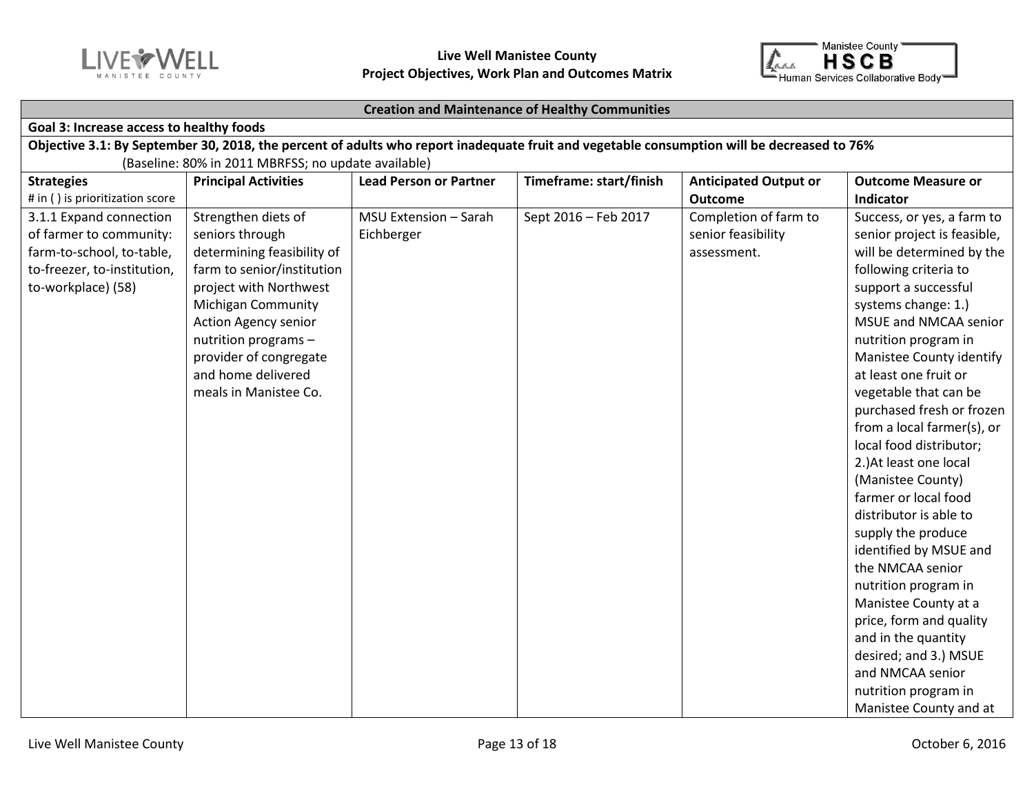



#### **Creation and Maintenance of Healthy Communities**

#### **Goal 3: Increase access to healthy foods**

**Objective 3.1: By September 30, 2018, the percent of adults who report inadequate fruit and vegetable consumption will be decreased to 76%** (Baseline: 80% in 2011 MBRFSS; no update available)

| <b>Strategies</b><br># in () is prioritization score                                                                                 | <b>Principal Activities</b>                                                                                                                                                                                                                                                               | <b>Lead Person or Partner</b>       | Timeframe: start/finish | <b>Anticipated Output or</b><br><b>Outcome</b>             | <b>Outcome Measure or</b><br>Indicator                                                                                                                                                                                                                                                                                                                                                                                                                                                                                                                                                                                                                                                                                                                    |
|--------------------------------------------------------------------------------------------------------------------------------------|-------------------------------------------------------------------------------------------------------------------------------------------------------------------------------------------------------------------------------------------------------------------------------------------|-------------------------------------|-------------------------|------------------------------------------------------------|-----------------------------------------------------------------------------------------------------------------------------------------------------------------------------------------------------------------------------------------------------------------------------------------------------------------------------------------------------------------------------------------------------------------------------------------------------------------------------------------------------------------------------------------------------------------------------------------------------------------------------------------------------------------------------------------------------------------------------------------------------------|
| 3.1.1 Expand connection<br>of farmer to community:<br>farm-to-school, to-table,<br>to-freezer, to-institution,<br>to-workplace) (58) | Strengthen diets of<br>seniors through<br>determining feasibility of<br>farm to senior/institution<br>project with Northwest<br><b>Michigan Community</b><br><b>Action Agency senior</b><br>nutrition programs -<br>provider of congregate<br>and home delivered<br>meals in Manistee Co. | MSU Extension - Sarah<br>Eichberger | Sept 2016 - Feb 2017    | Completion of farm to<br>senior feasibility<br>assessment. | Success, or yes, a farm to<br>senior project is feasible,<br>will be determined by the<br>following criteria to<br>support a successful<br>systems change: 1.)<br>MSUE and NMCAA senior<br>nutrition program in<br>Manistee County identify<br>at least one fruit or<br>vegetable that can be<br>purchased fresh or frozen<br>from a local farmer(s), or<br>local food distributor;<br>2.) At least one local<br>(Manistee County)<br>farmer or local food<br>distributor is able to<br>supply the produce<br>identified by MSUE and<br>the NMCAA senior<br>nutrition program in<br>Manistee County at a<br>price, form and quality<br>and in the quantity<br>desired; and 3.) MSUE<br>and NMCAA senior<br>nutrition program in<br>Manistee County and at |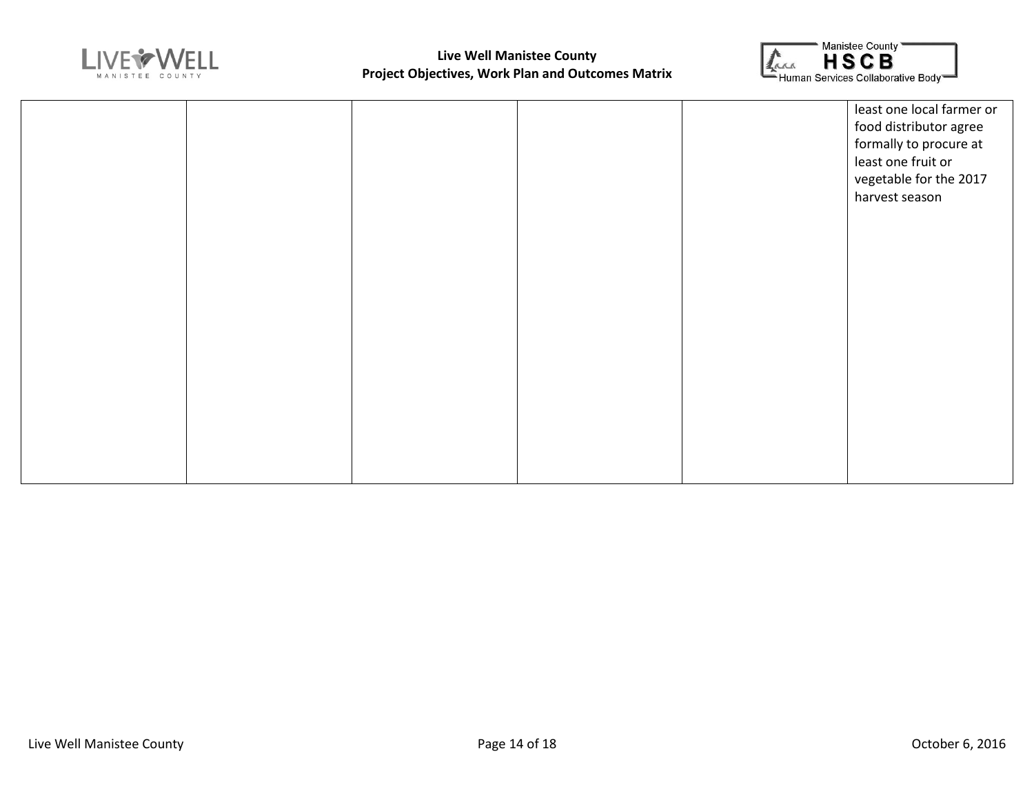



|  |  | least one local farmer or<br>food distributor agree<br>formally to procure at<br>least one fruit or<br>vegetable for the 2017<br>harvest season |
|--|--|-------------------------------------------------------------------------------------------------------------------------------------------------|
|  |  |                                                                                                                                                 |
|  |  |                                                                                                                                                 |
|  |  |                                                                                                                                                 |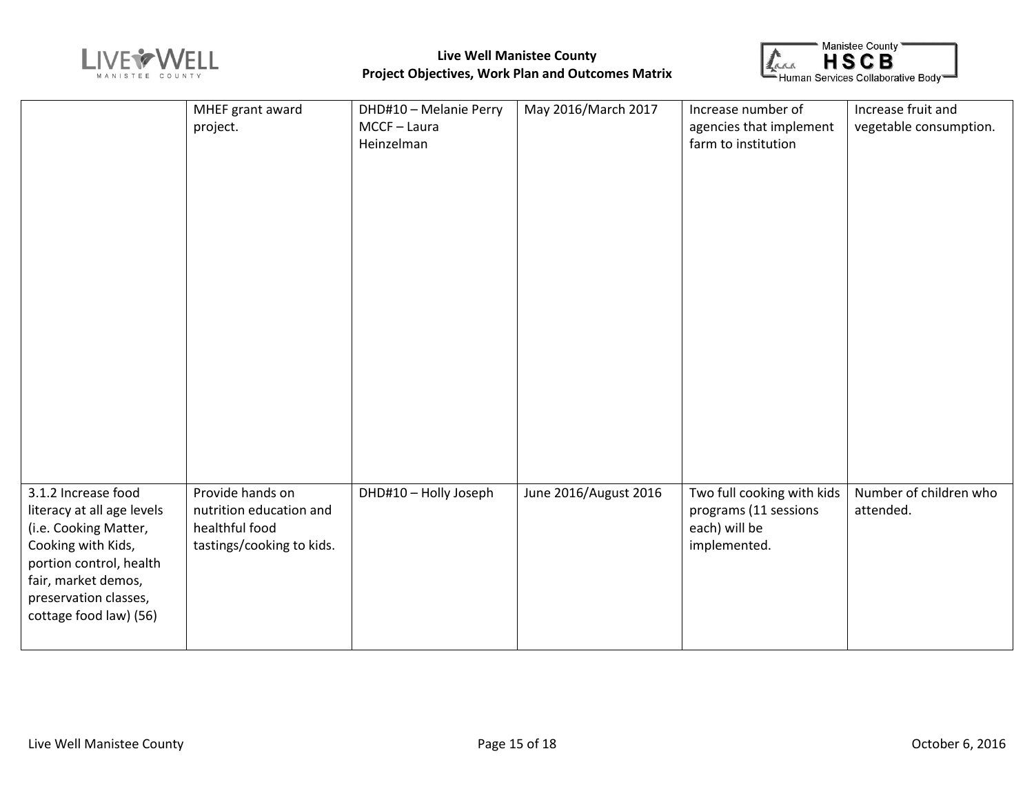



|                            | MHEF grant award          | DHD#10 - Melanie Perry | May 2016/March 2017   | Increase number of         | Increase fruit and     |
|----------------------------|---------------------------|------------------------|-----------------------|----------------------------|------------------------|
|                            | project.                  | MCCF-Laura             |                       | agencies that implement    | vegetable consumption. |
|                            |                           | Heinzelman             |                       | farm to institution        |                        |
|                            |                           |                        |                       |                            |                        |
|                            |                           |                        |                       |                            |                        |
|                            |                           |                        |                       |                            |                        |
|                            |                           |                        |                       |                            |                        |
|                            |                           |                        |                       |                            |                        |
|                            |                           |                        |                       |                            |                        |
|                            |                           |                        |                       |                            |                        |
|                            |                           |                        |                       |                            |                        |
|                            |                           |                        |                       |                            |                        |
|                            |                           |                        |                       |                            |                        |
|                            |                           |                        |                       |                            |                        |
|                            |                           |                        |                       |                            |                        |
|                            |                           |                        |                       |                            |                        |
|                            |                           |                        |                       |                            |                        |
|                            |                           |                        |                       |                            |                        |
|                            |                           |                        |                       |                            |                        |
|                            |                           |                        |                       |                            |                        |
|                            |                           |                        |                       |                            |                        |
|                            |                           |                        |                       |                            |                        |
| 3.1.2 Increase food        | Provide hands on          | DHD#10 - Holly Joseph  | June 2016/August 2016 | Two full cooking with kids | Number of children who |
| literacy at all age levels | nutrition education and   |                        |                       | programs (11 sessions      | attended.              |
| (i.e. Cooking Matter,      | healthful food            |                        |                       | each) will be              |                        |
| Cooking with Kids,         | tastings/cooking to kids. |                        |                       | implemented.               |                        |
| portion control, health    |                           |                        |                       |                            |                        |
| fair, market demos,        |                           |                        |                       |                            |                        |
| preservation classes,      |                           |                        |                       |                            |                        |
| cottage food law) (56)     |                           |                        |                       |                            |                        |
|                            |                           |                        |                       |                            |                        |
|                            |                           |                        |                       |                            |                        |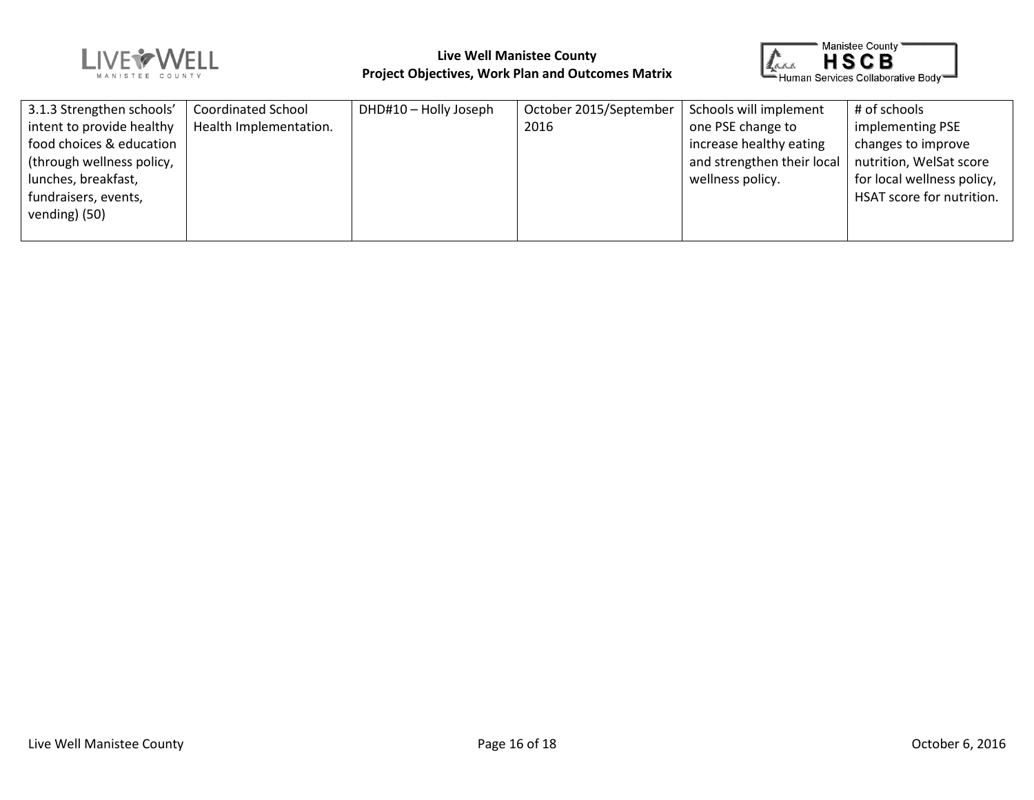



| 3.1.3 Strengthen schools' | <b>Coordinated School</b> | DHD#10 - Holly Joseph | October 2015/September | Schools will implement     | # of schools               |
|---------------------------|---------------------------|-----------------------|------------------------|----------------------------|----------------------------|
| intent to provide healthy | Health Implementation.    |                       | 2016                   | one PSE change to          | implementing PSE           |
| food choices & education  |                           |                       |                        | increase healthy eating    | changes to improve         |
| (through wellness policy, |                           |                       |                        | and strengthen their local | nutrition, WelSat score    |
| lunches, breakfast,       |                           |                       |                        | wellness policy.           | for local wellness policy, |
| fundraisers, events,      |                           |                       |                        |                            | HSAT score for nutrition.  |
| vending) (50)             |                           |                       |                        |                            |                            |
|                           |                           |                       |                        |                            |                            |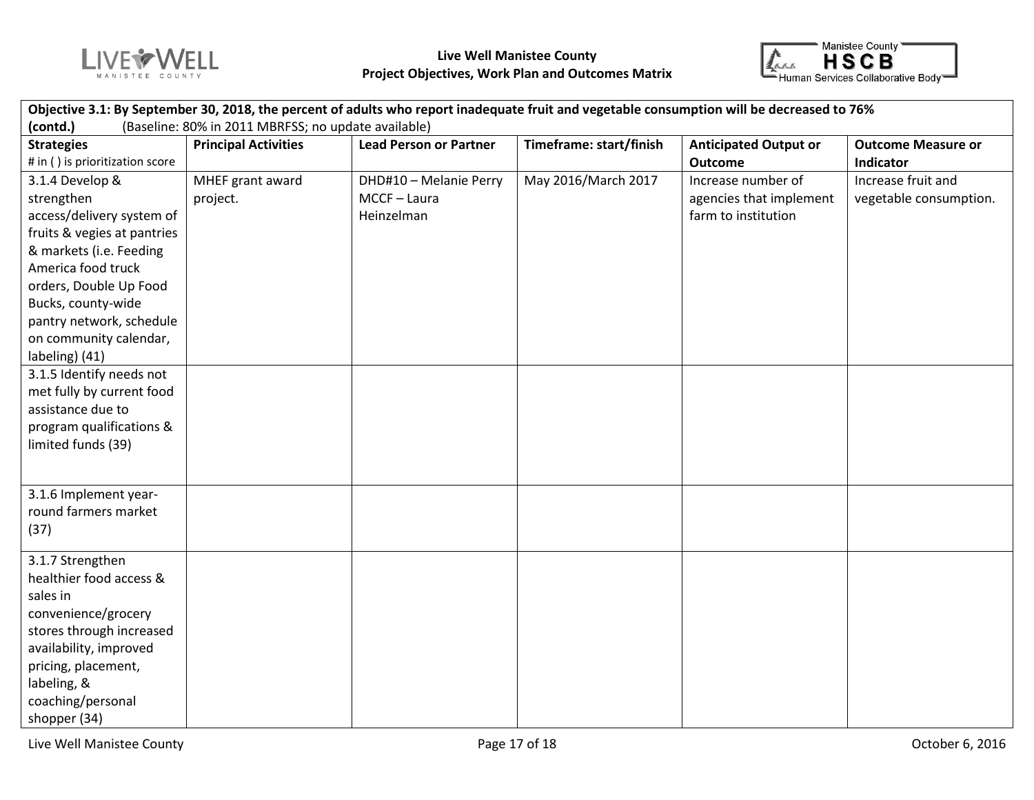



| Objective 3.1: By September 30, 2018, the percent of adults who report inadequate fruit and vegetable consumption will be decreased to 76% |                             |                               |                         |                              |                           |  |
|--------------------------------------------------------------------------------------------------------------------------------------------|-----------------------------|-------------------------------|-------------------------|------------------------------|---------------------------|--|
| (contd.)<br>(Baseline: 80% in 2011 MBRFSS; no update available)                                                                            |                             |                               |                         |                              |                           |  |
| <b>Strategies</b>                                                                                                                          | <b>Principal Activities</b> | <b>Lead Person or Partner</b> | Timeframe: start/finish | <b>Anticipated Output or</b> | <b>Outcome Measure or</b> |  |
| # in () is prioritization score                                                                                                            |                             |                               |                         | <b>Outcome</b>               | Indicator                 |  |
| 3.1.4 Develop &                                                                                                                            | MHEF grant award            | DHD#10 - Melanie Perry        | May 2016/March 2017     | Increase number of           | Increase fruit and        |  |
| strengthen                                                                                                                                 | project.                    | MCCF-Laura                    |                         | agencies that implement      | vegetable consumption.    |  |
| access/delivery system of                                                                                                                  |                             | Heinzelman                    |                         | farm to institution          |                           |  |
| fruits & vegies at pantries                                                                                                                |                             |                               |                         |                              |                           |  |
| & markets (i.e. Feeding                                                                                                                    |                             |                               |                         |                              |                           |  |
| America food truck                                                                                                                         |                             |                               |                         |                              |                           |  |
| orders, Double Up Food                                                                                                                     |                             |                               |                         |                              |                           |  |
| Bucks, county-wide                                                                                                                         |                             |                               |                         |                              |                           |  |
| pantry network, schedule                                                                                                                   |                             |                               |                         |                              |                           |  |
| on community calendar,                                                                                                                     |                             |                               |                         |                              |                           |  |
| labeling) (41)                                                                                                                             |                             |                               |                         |                              |                           |  |
| 3.1.5 Identify needs not                                                                                                                   |                             |                               |                         |                              |                           |  |
| met fully by current food                                                                                                                  |                             |                               |                         |                              |                           |  |
| assistance due to                                                                                                                          |                             |                               |                         |                              |                           |  |
| program qualifications &                                                                                                                   |                             |                               |                         |                              |                           |  |
| limited funds (39)                                                                                                                         |                             |                               |                         |                              |                           |  |
|                                                                                                                                            |                             |                               |                         |                              |                           |  |
|                                                                                                                                            |                             |                               |                         |                              |                           |  |
| 3.1.6 Implement year-                                                                                                                      |                             |                               |                         |                              |                           |  |
| round farmers market                                                                                                                       |                             |                               |                         |                              |                           |  |
| (37)                                                                                                                                       |                             |                               |                         |                              |                           |  |
| 3.1.7 Strengthen                                                                                                                           |                             |                               |                         |                              |                           |  |
| healthier food access &                                                                                                                    |                             |                               |                         |                              |                           |  |
| sales in                                                                                                                                   |                             |                               |                         |                              |                           |  |
| convenience/grocery                                                                                                                        |                             |                               |                         |                              |                           |  |
| stores through increased                                                                                                                   |                             |                               |                         |                              |                           |  |
| availability, improved                                                                                                                     |                             |                               |                         |                              |                           |  |
| pricing, placement,                                                                                                                        |                             |                               |                         |                              |                           |  |
| labeling, &                                                                                                                                |                             |                               |                         |                              |                           |  |
| coaching/personal                                                                                                                          |                             |                               |                         |                              |                           |  |
| shopper (34)                                                                                                                               |                             |                               |                         |                              |                           |  |